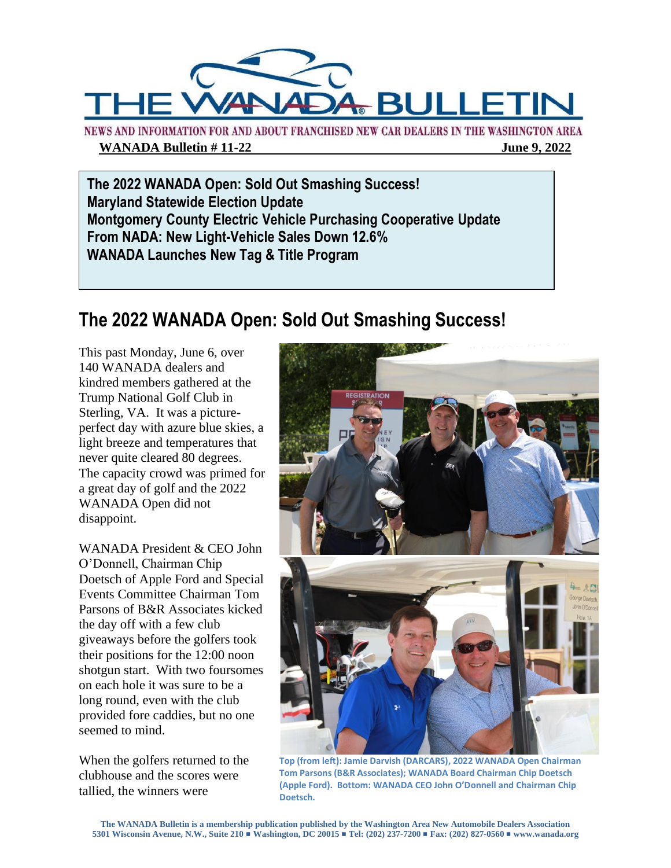

NEWS AND INFORMATION FOR AND ABOUT FRANCHISED NEW CAR DEALERS IN THE WASHINGTON AREA **WANADA Bulletin # 11-22** June 9, 2022

**The 2022 WANADA Open: Sold Out Smashing Success! Maryland Statewide Election Update Montgomery County Electric Vehicle Purchasing Cooperative Update From NADA: New Light-Vehicle Sales Down 12.6% WANADA Launches New Tag & Title Program**

### **The 2022 WANADA Open: Sold Out Smashing Success!**

This past Monday, June 6, over 140 WANADA dealers and kindred members gathered at the Trump National Golf Club in Sterling, VA. It was a pictureperfect day with azure blue skies, a light breeze and temperatures that never quite cleared 80 degrees. The capacity crowd was primed for a great day of golf and the 2022 WANADA Open did not disappoint.

WANADA President & CEO John O'Donnell, Chairman Chip Doetsch of Apple Ford and Special Events Committee Chairman Tom Parsons of B&R Associates kicked the day off with a few club giveaways before the golfers took their positions for the 12:00 noon shotgun start. With two foursomes on each hole it was sure to be a long round, even with the club provided fore caddies, but no one seemed to mind.

When the golfers returned to the clubhouse and the scores were tallied, the winners were



**Top (from left): Jamie Darvish (DARCARS), 2022 WANADA Open Chairman Tom Parsons (B&R Associates); WANADA Board Chairman Chip Doetsch (Apple Ford). Bottom: WANADA CEO John O'Donnell and Chairman Chip Doetsch.**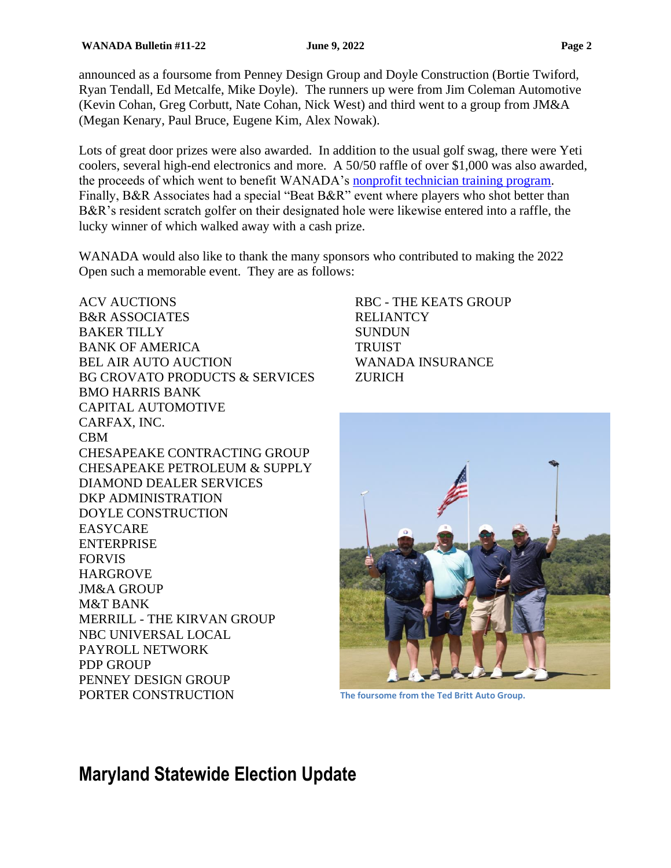announced as a foursome from Penney Design Group and Doyle Construction (Bortie Twiford, Ryan Tendall, Ed Metcalfe, Mike Doyle). The runners up were from Jim Coleman Automotive (Kevin Cohan, Greg Corbutt, Nate Cohan, Nick West) and third went to a group from JM&A (Megan Kenary, Paul Bruce, Eugene Kim, Alex Nowak).

Lots of great door prizes were also awarded. In addition to the usual golf swag, there were Yeti coolers, several high-end electronics and more. A 50/50 raffle of over \$1,000 was also awarded, the proceeds of which went to benefit WANADA's [nonprofit technician training program.](http://www.adei-programs.org/) Finally, B&R Associates had a special "Beat B&R" event where players who shot better than B&R's resident scratch golfer on their designated hole were likewise entered into a raffle, the lucky winner of which walked away with a cash prize.

WANADA would also like to thank the many sponsors who contributed to making the 2022 Open such a memorable event. They are as follows:

ACV AUCTIONS B&R ASSOCIATES BAKER TILLY BANK OF AMERICA BEL AIR AUTO AUCTION BG CROVATO PRODUCTS & SERVICES BMO HARRIS BANK CAPITAL AUTOMOTIVE CARFAX, INC. CBM CHESAPEAKE CONTRACTING GROUP CHESAPEAKE PETROLEUM & SUPPLY DIAMOND DEALER SERVICES DKP ADMINISTRATION DOYLE CONSTRUCTION EASYCARE ENTERPRISE FORVIS HARGROVE JM&A GROUP M&T BANK MERRILL - THE KIRVAN GROUP NBC UNIVERSAL LOCAL PAYROLL NETWORK PDP GROUP PENNEY DESIGN GROUP PORTER CONSTRUCTION

RBC - THE KEATS GROUP RELIANTCY **SUNDUN TRUIST** WANADA INSURANCE **ZURICH** 



**The foursome from the Ted Britt Auto Group.**

### **Maryland Statewide Election Update**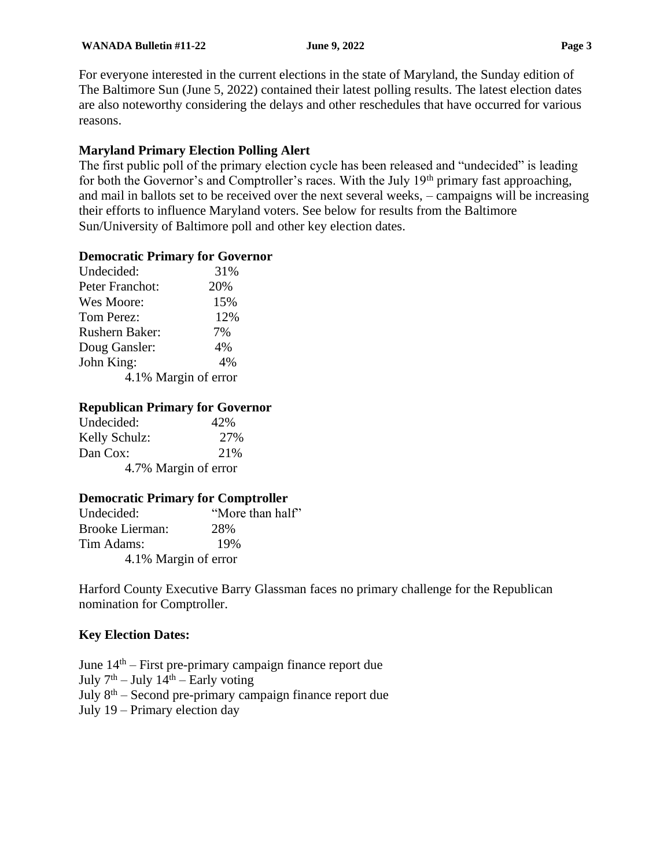For everyone interested in the current elections in the state of Maryland, the Sunday edition of The Baltimore Sun (June 5, 2022) contained their latest polling results. The latest election dates are also noteworthy considering the delays and other reschedules that have occurred for various reasons.

#### **Maryland Primary Election Polling Alert**

The first public poll of the primary election cycle has been released and "undecided" is leading for both the Governor's and Comptroller's races. With the July 19<sup>th</sup> primary fast approaching, and mail in ballots set to be received over the next several weeks, – campaigns will be increasing their efforts to influence Maryland voters. See below for results from the Baltimore Sun/University of Baltimore poll and other key election dates.

#### **Democratic Primary for Governor**

| Undecided:            | 31% |  |
|-----------------------|-----|--|
| Peter Franchot:       | 20% |  |
| Wes Moore:            | 15% |  |
| Tom Perez:            | 12% |  |
| <b>Rushern Baker:</b> | 7%  |  |
| Doug Gansler:         | 4%  |  |
| John King:            | 4%  |  |
| 4.1% Margin of error  |     |  |

#### **Republican Primary for Governor**

| Undecided:           | 42% |
|----------------------|-----|
| Kelly Schulz:        | 27% |
| Dan Cox:             | 21% |
| 4.7% Margin of error |     |

#### **Democratic Primary for Comptroller**

| Undecided:           | "More than half" |
|----------------------|------------------|
| Brooke Lierman:      | 28%              |
| Tim Adams:           | 19%              |
| 4.1% Margin of error |                  |

Harford County Executive Barry Glassman faces no primary challenge for the Republican nomination for Comptroller.

#### **Key Election Dates:**

June  $14<sup>th</sup>$  – First pre-primary campaign finance report due July  $7<sup>th</sup> - July 14<sup>th</sup> - Early voting$ July 8th – Second pre-primary campaign finance report due July 19 – Primary election day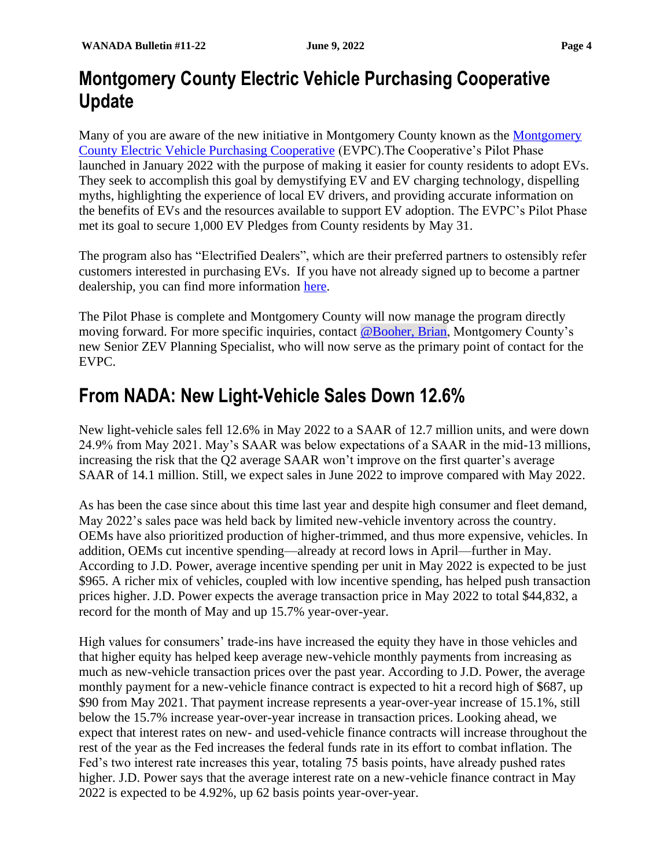## **Montgomery County Electric Vehicle Purchasing Cooperative Update**

Many of you are aware of the new initiative in [Montgomery](https://www.montgomerycountymd.gov/green/zev/index.html) County known as the Montgomery [County Electric Vehicle Purchasing Cooperative](https://www.montgomerycountymd.gov/green/zev/index.html) (EVPC).The Cooperative's Pilot Phase launched in January 2022 with the purpose of making it easier for county residents to adopt EVs. They seek to accomplish this goal by demystifying EV and EV charging technology, dispelling myths, highlighting the experience of local EV drivers, and providing accurate information on the benefits of EVs and the resources available to support EV adoption. The EVPC's Pilot Phase met its goal to secure 1,000 EV Pledges from County residents by May 31.

The program also has "Electrified Dealers", which are their preferred partners to ostensibly refer customers interested in purchasing EVs. If you have not already signed up to become a partner dealership, you can find more information [here.](https://www.montgomerycountymd.gov/green/zev/ev-dealers.html)

The Pilot Phase is complete and Montgomery County will now manage the program directly moving forward. For more specific inquiries, contact [@Booher, Brian,](mailto:Brian.Booher@montgomerycountymd.gov) Montgomery County's new Senior ZEV Planning Specialist, who will now serve as the primary point of contact for the EVPC.

## **From NADA: New Light-Vehicle Sales Down 12.6%**

New light-vehicle sales fell 12.6% in May 2022 to a SAAR of 12.7 million units, and were down 24.9% from May 2021. May's SAAR was below expectations of a SAAR in the mid-13 millions, increasing the risk that the Q2 average SAAR won't improve on the first quarter's average SAAR of 14.1 million. Still, we expect sales in June 2022 to improve compared with May 2022.

As has been the case since about this time last year and despite high consumer and fleet demand, May 2022's sales pace was held back by limited new-vehicle inventory across the country. OEMs have also prioritized production of higher-trimmed, and thus more expensive, vehicles. In addition, OEMs cut incentive spending—already at record lows in April—further in May. According to J.D. Power, average incentive spending per unit in May 2022 is expected to be just \$965. A richer mix of vehicles, coupled with low incentive spending, has helped push transaction prices higher. J.D. Power expects the average transaction price in May 2022 to total \$44,832, a record for the month of May and up 15.7% year-over-year.

High values for consumers' trade-ins have increased the equity they have in those vehicles and that higher equity has helped keep average new-vehicle monthly payments from increasing as much as new-vehicle transaction prices over the past year. According to J.D. Power, the average monthly payment for a new-vehicle finance contract is expected to hit a record high of \$687, up \$90 from May 2021. That payment increase represents a year-over-year increase of 15.1%, still below the 15.7% increase year-over-year increase in transaction prices. Looking ahead, we expect that interest rates on new- and used-vehicle finance contracts will increase throughout the rest of the year as the Fed increases the federal funds rate in its effort to combat inflation. The Fed's two interest rate increases this year, totaling 75 basis points, have already pushed rates higher. J.D. Power says that the average interest rate on a new-vehicle finance contract in May 2022 is expected to be 4.92%, up 62 basis points year-over-year.